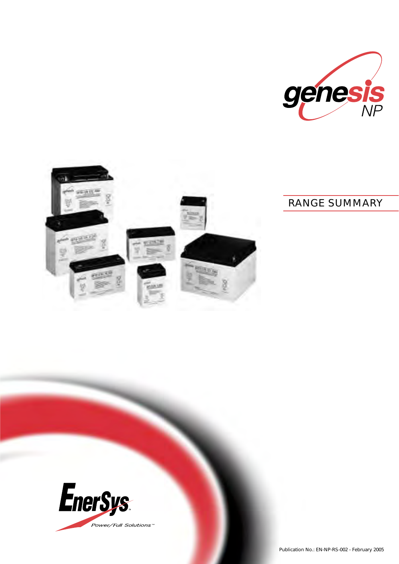



# *RANGE SUMMARY*

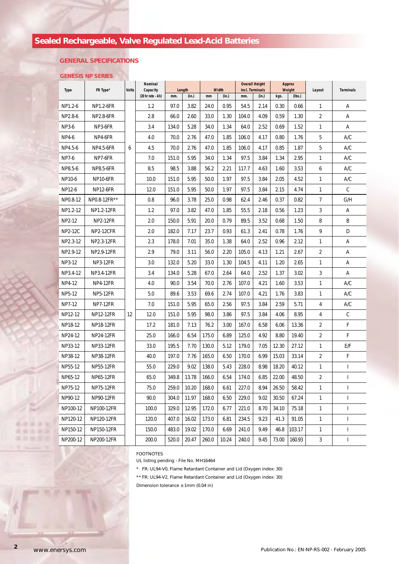# *Sealed Rechargeable, Valve Regulated Lead-Acid Batteries*

## **GENERAL SPECIFICATIONS**

### **GENESIS NP SERIES**

| <b>Type</b>    | FR Type*         | <b>Volts</b> | Nominal<br>Capacity<br>(20 hr rate - Ah) | Length |       | Width |       | <b>Overall Height</b><br>Incl. Terminals |       | <b>Approx</b><br>Weight |        |                |                          |
|----------------|------------------|--------------|------------------------------------------|--------|-------|-------|-------|------------------------------------------|-------|-------------------------|--------|----------------|--------------------------|
|                |                  |              |                                          | mm.    | (in.) | mm    | (in.) | mm.                                      | (in.) | kgs.                    | (lbs.) | Layout         | <b>Terminals</b>         |
| NP1.2-6        | NP1.2-6FR        | 6            | 1.2                                      | 97.0   | 3.82  | 24.0  | 0.95  | 54.5                                     | 2.14  | 0.30                    | 0.66   | 1              | Α                        |
| NP2.8-6        | NP2.8-6FR        |              | 2.8                                      | 66.0   | 2.60  | 33.0  | 1.30  | 104.0                                    | 4.09  | 0.59                    | 1.30   | 2              | Α                        |
| NP3-6          | NP3-6FR          |              | 3.4                                      | 134.0  | 5.28  | 34.0  | 1.34  | 64.0                                     | 2.52  | 0.69                    | 1.52   | 1              | Α                        |
| NP4-6          | NP4-6FR          |              | 4.0                                      | 70.0   | 2.76  | 47.0  | 1.85  | 106.0                                    | 4.17  | 0.80                    | 1.76   | 5              | A/C                      |
| NP4.5-6        | NP4.5-6FR        |              | 4.5                                      | 70.0   | 2.76  | 47.0  | 1.85  | 106.0                                    | 4.17  | 0.85                    | 1.87   | 5              | A/C                      |
| <b>NP7-6</b>   | NP7-6FR          |              | 7.0                                      | 151.0  | 5.95  | 34.0  | 1.34  | 97.5                                     | 3.84  | 1.34                    | 2.95   | 1              | A/C                      |
| NP8.5-6        | NP8.5-6FR        |              | 8.5                                      | 98.5   | 3.88  | 56.2  | 2.21  | 117.7                                    | 4.63  | 1.60                    | 3.53   | 6              | A/C                      |
| NP10-6         | <b>NP10-6FR</b>  |              | 10.0                                     | 151.0  | 5.95  | 50.0  | 1.97  | 97.5                                     | 3.84  | 2.05                    | 4.52   | 1              | A/C                      |
| NP12-6         | <b>NP12-6FR</b>  |              | 12.0                                     | 151.0  | 5.95  | 50.0  | 1.97  | 97.5                                     | 3.84  | 2.15                    | 4.74   | $\mathbf{1}$   | $\mathsf C$              |
| NP0.8-12       | NP0.8-12FR**     |              | 0.8                                      | 96.0   | 3.78  | 25.0  | 0.98  | 62.4                                     | 2.46  | 0.37                    | 0.82   | 7              | G/H                      |
| NP1.2-12       | NP1.2-12FR       |              | 1.2                                      | 97.0   | 3.82  | 47.0  | 1.85  | 55.5                                     | 2.18  | 0.56                    | 1.23   | 3              | Α                        |
| NP2-12         | <b>NP2-12FR</b>  |              | 2.0                                      | 150.0  | 5.91  | 20.0  | 0.79  | 89.5                                     | 3.52  | 0.68                    | 1.50   | 8              | B                        |
| <b>NP2-12C</b> | <b>NP2-12CFR</b> |              | 2.0                                      | 182.0  | 7.17  | 23.7  | 0.93  | 61.3                                     | 2.41  | 0.78                    | 1.76   | 9              | D                        |
| NP2.3-12       | NP2.3-12FR       |              | 2.3                                      | 178.0  | 7.01  | 35.0  | 1.38  | 64.0                                     | 2.52  | 0.96                    | 2.12   | 1              | Α                        |
| NP2.9-12       | NP2.9-12FR       |              | 2.9                                      | 79.0   | 3.11  | 56.0  | 2.20  | 105.0                                    | 4.13  | 1.21                    | 2.67   | 2              | Α                        |
| NP3-12         | <b>NP3-12FR</b>  |              | 3.0                                      | 132.0  | 5.20  | 33.0  | 1.30  | 104.5                                    | 4.11  | 1.20                    | 2.65   | 1              | Α                        |
| NP3.4-12       | NP3.4-12FR       |              | 3.4                                      | 134.0  | 5.28  | 67.0  | 2.64  | 64.0                                     | 2.52  | 1.37                    | 3.02   | 3              | Α                        |
| NP4-12         | <b>NP4-12FR</b>  |              | 4.0                                      | 90.0   | 3.54  | 70.0  | 2.76  | 107.0                                    | 4.21  | 1.60                    | 3.53   | 1              | A/C                      |
| NP5-12         | <b>NP5-12FR</b>  | 12           | 5.0                                      | 89.6   | 3.53  | 69.6  | 2.74  | 107.0                                    | 4.21  | 1.76                    | 3.83   | 1              | A/C                      |
| NP7-12         | <b>NP7-12FR</b>  |              | 7.0                                      | 151.0  | 5.95  | 65.0  | 2.56  | 97.5                                     | 3.84  | 2.59                    | 5.71   | 4              | A/C                      |
| NP12-12        | <b>NP12-12FR</b> |              | 12.0                                     | 151.0  | 5.95  | 98.0  | 3.86  | 97.5                                     | 3.84  | 4.06                    | 8.95   | 4              | $\mathsf C$              |
| NP18-12        | <b>NP18-12FR</b> |              | 17.2                                     | 181.0  | 7.13  | 76.2  | 3.00  | 167.0                                    | 6.58  | 6.06                    | 13.36  | 2              | F                        |
| NP24-12        | <b>NP24-12FR</b> |              | 25.0                                     | 166.0  | 6.54  | 175.0 | 6.89  | 125.0                                    | 4.92  | 8.80                    | 19.40  | 2              | F                        |
| NP33-12        | NP33-12FR        |              | 33.0                                     | 195.5  | 7.70  | 130.0 | 5.12  | 179.0                                    | 7.05  | 12.30                   | 27.12  | 1              | E/F                      |
| NP38-12        | NP38-12FR        |              | 40.0                                     | 197.0  | 7.76  | 165.0 | 6.50  | 170.0                                    | 6.99  | 15.03                   | 33.14  | $\overline{2}$ | F                        |
| NP55-12        | <b>NP55-12FR</b> |              | 55.0                                     | 229.0  | 9.02  | 138.0 | 5.43  | 228.0                                    | 8.98  | 18.20                   | 40.12  | 1              | I                        |
| NP65-12        | NP65-12FR        |              | 65.0                                     | 349.8  | 13.78 | 166.0 | 6.54  | 174.0                                    | 6.85  | 22.00                   | 48.50  | 2              | L                        |
| NP75-12        | <b>NP75-12FR</b> |              | 75.0                                     | 259.0  | 10.20 | 168.0 | 6.61  | 227.0                                    | 8.94  | 26.50                   | 58.42  | 1              | I                        |
| NP90-12        | NP90-12FR        |              | 90.0                                     | 304.0  | 11.97 | 168.0 | 6.50  | 229.0                                    | 9.02  | 30.50                   | 67.24  | 1              | I                        |
| NP100-12       | NP100-12FR       |              | 100.0                                    | 329.0  | 12.95 | 172.0 | 6.77  | 221.0                                    | 8.70  | 34.10                   | 75.18  | 1              | T                        |
| NP120-12       | NP120-12FR       |              | 120.0                                    | 407.0  | 16.02 | 173.0 | 6.81  | 234.5                                    | 9.23  | 41.3                    | 91.05  | 1              | $\overline{\phantom{a}}$ |
| NP150-12       | NP150-12FR       |              | 150.0                                    | 483.0  | 19.02 | 170.0 | 6.69  | 241.0                                    | 9.49  | 46.8                    | 103.17 | 1              | $\overline{\phantom{a}}$ |
| NP200-12       | NP200-12FR       |              | 200.0                                    | 520.0  | 20.47 | 260.0 | 10.24 | 240.0                                    | 9.45  | 73.00                   | 160.93 | 3              | $\overline{\phantom{a}}$ |

FOOTNOTES

UL listing pending - File No. MH16464

\* FR: UL94-V0, Flame Retardant Container and Lid (Oxygen index: 30)

\*\* FR: UL94-V2, Flame Retardant Container and Lid (Oxygen index: 30)

Dimension tolerance ± 1mm (0.04 in)

**2**

0.7078 10.10 香油 山南岛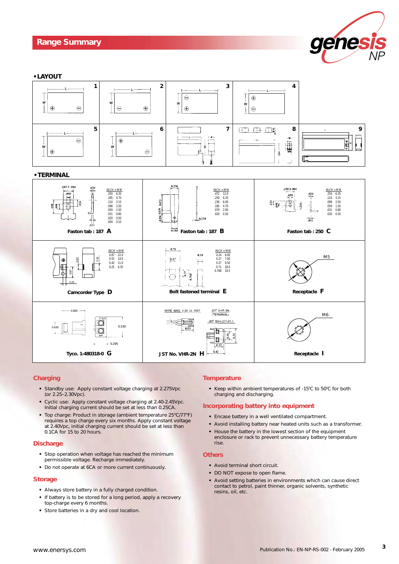## *Range Summary*





#### **Charging**

- **•** Standby use: Apply constant voltage charging at 2.275Vpc (or 2.25–2.30Vpc).
- **•** Cyclic use: Apply constant voltage charging at 2.40-2.45Vpc. Initial charging current should be set at less than 0.25CA.
- **•** Top charge: Product in storage (ambient temperature 25°C/77°F) requires a top charge every six months. Apply constant voltage at 2.40Vpc, initial charging current should be set at less than 0.1CA for 15 to 20 hours.

#### **Discharge**

- **•** Stop operation when voltage has reached the minimum permissible voltage. Recharge immediately.
- **•** Do not operate at 6CA or more current continuously.

### **Storage**

- **•** Always store battery in a fully charged condition.
- **•** If battery is to be stored for a long period, apply a recovery top-charge every 6 months.
- **•** Store batteries in a dry and cool location.

#### **Temperature**

• Keep within ambient temperatures of -15°C to 50°C for both charging and discharging.

#### **Incorporating battery into equipment**

- **•** Encase battery in a well ventilated compartment.
- **•** Avoid installing battery near heated units such as a transformer.
- **•** House the battery in the lowest section of the equipment enclosure or rack to prevent unnecessary battery temperature rise.

#### **Others**

- **•** Avoid terminal short circuit.
- **•** DO NOT expose to open flame.
- **•** Avoid setting batteries in environments which can cause direct contact to petrol, paint thinner, organic solvents, synthetic resins, oil, etc.

**3**